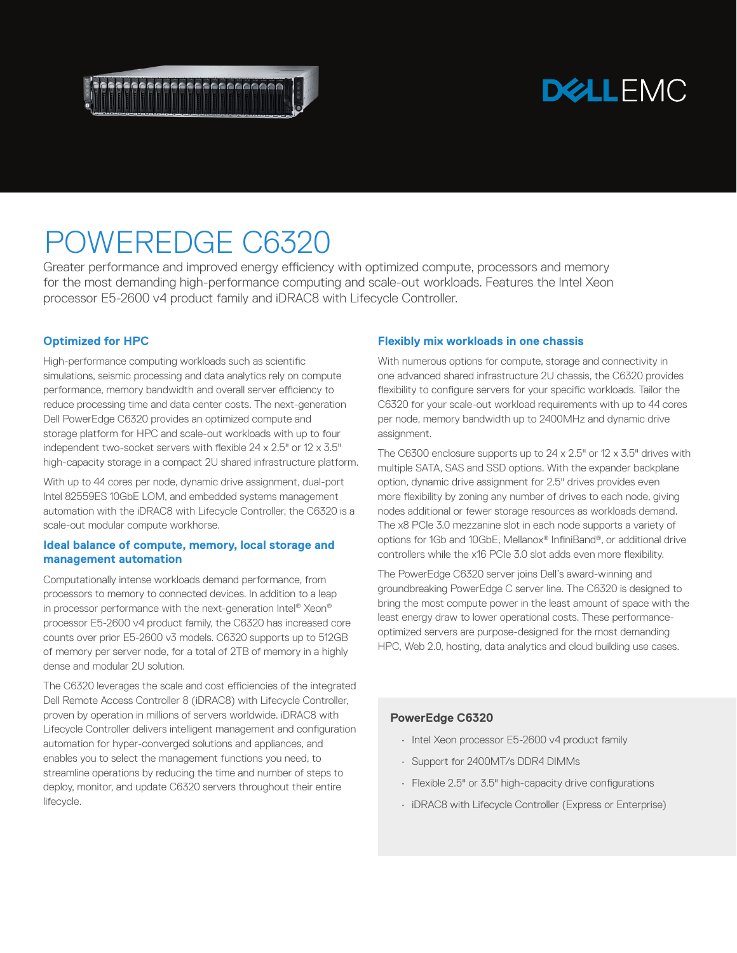

## **DELLEMC**

# POWEREDGE C6320

Greater performance and improved energy efficiency with optimized compute, processors and memory for the most demanding high-performance computing and scale-out workloads. Features the Intel Xeon processor E5-2600 v4 product family and iDRAC8 with Lifecycle Controller.

## **Optimized for HPC**

High-performance computing workloads such as scientific simulations, seismic processing and data analytics rely on compute performance, memory bandwidth and overall server efficiency to reduce processing time and data center costs. The next-generation Dell PowerEdge C6320 provides an optimized compute and storage platform for HPC and scale-out workloads with up to four independent two-socket servers with flexible 24 x 2.5" or 12 x 3.5" high-capacity storage in a compact 2U shared infrastructure platform.

With up to 44 cores per node, dynamic drive assignment, dual-port Intel 82559ES 10GbE LOM, and embedded systems management automation with the iDRAC8 with Lifecycle Controller, the C6320 is a scale-out modular compute workhorse.

#### **Ideal balance of compute, memory, local storage and management automation**

Computationally intense workloads demand performance, from processors to memory to connected devices. In addition to a leap in processor performance with the next-generation Intel® Xeon® processor E5-2600 v4 product family, the C6320 has increased core counts over prior E5-2600 v3 models. C6320 supports up to 512GB of memory per server node, for a total of 2TB of memory in a highly dense and modular 2U solution.

The C6320 leverages the scale and cost efficiencies of the integrated Dell Remote Access Controller 8 (iDRAC8) with Lifecycle Controller, proven by operation in millions of servers worldwide. iDRAC8 with Lifecycle Controller delivers intelligent management and configuration automation for hyper-converged solutions and appliances, and enables you to select the management functions you need, to streamline operations by reducing the time and number of steps to deploy, monitor, and update C6320 servers throughout their entire lifecycle.

### **Flexibly mix workloads in one chassis**

With numerous options for compute, storage and connectivity in one advanced shared infrastructure 2U chassis, the C6320 provides flexibility to configure servers for your specific workloads. Tailor the C6320 for your scale-out workload requirements with up to 44 cores per node, memory bandwidth up to 2400MHz and dynamic drive assignment.

The C6300 enclosure supports up to 24 x 2.5" or 12 x 3.5" drives with multiple SATA, SAS and SSD options. With the expander backplane option, dynamic drive assignment for 2.5" drives provides even more flexibility by zoning any number of drives to each node, giving nodes additional or fewer storage resources as workloads demand. The x8 PCIe 3.0 mezzanine slot in each node supports a variety of options for 1Gb and 10GbE, Mellanox® InfiniBand®, or additional drive controllers while the x16 PCIe 3.0 slot adds even more flexibility.

The PowerEdge C6320 server joins Dell's award-winning and groundbreaking PowerEdge C server line. The C6320 is designed to bring the most compute power in the least amount of space with the least energy draw to lower operational costs. These performanceoptimized servers are purpose-designed for the most demanding HPC, Web 2.0, hosting, data analytics and cloud building use cases.

## **PowerEdge C6320**

- Intel Xeon processor E5-2600 v4 product family
- Support for 2400MT/s DDR4 DIMMs
- Flexible 2.5" or 3.5" high-capacity drive configurations
- iDRAC8 with Lifecycle Controller (Express or Enterprise)